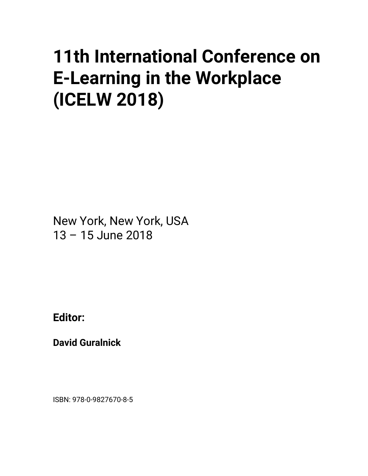## **11th International Conference on E-Learning in the Workplace (ICELW 2018)**

New York, New York, USA 13 – 15 June 2018

**Editor:** 

**David Guralnick** 

ISBN: 978-0-9827670-8-5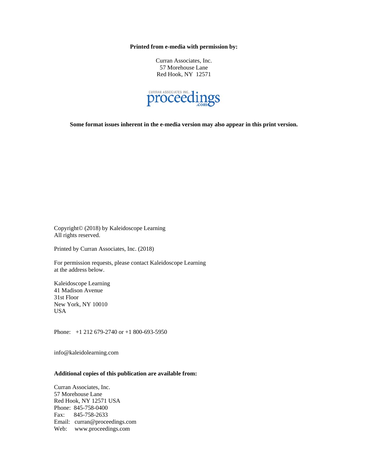**Printed from e-media with permission by:** 

Curran Associates, Inc. 57 Morehouse Lane Red Hook, NY 12571



**Some format issues inherent in the e-media version may also appear in this print version.** 

Copyright© (2018) by Kaleidoscope Learning All rights reserved.

Printed by Curran Associates, Inc. (2018)

For permission requests, please contact Kaleidoscope Learning at the address below.

Kaleidoscope Learning 41 Madison Avenue 31st Floor New York, NY 10010 USA

Phone: +1 212 679-2740 or +1 800-693-5950

info@kaleidolearning.com

## **Additional copies of this publication are available from:**

Curran Associates, Inc. 57 Morehouse Lane Red Hook, NY 12571 USA Phone: 845-758-0400 Fax: 845-758-2633 Email: curran@proceedings.com Web: www.proceedings.com